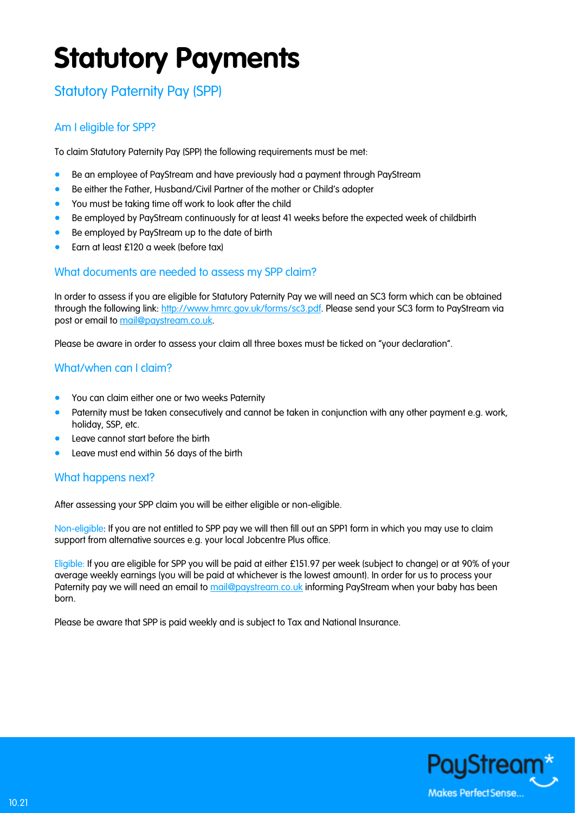# **Statutory Payments**

# Statutory Paternity Pay (SPP)

## Am I eligible for SPP?

To claim Statutory Paternity Pay (SPP) the following requirements must be met:

- Be an employee of PayStream and have previously had a payment through PayStream
- Be either the Father, Husband/Civil Partner of the mother or Child's adopter
- You must be taking time off work to look after the child
- Be employed by PayStream continuously for at least 41 weeks before the expected week of childbirth
- Be employed by PayStream up to the date of birth
- Earn at least £120 a week (before tax)

#### What documents are needed to assess my SPP claim?

In order to assess if you are eligible for Statutory Paternity Pay we will need an SC3 form which can be obtained through the following link: [http://www.hmrc.gov.uk/forms/sc3.pdf.](http://www.hmrc.gov.uk/forms/sc3.pdf) Please send your SC3 form to PayStream via post or email to [mail@paystream.co.uk.](mailto:mail@paystream.co.uk)

Please be aware in order to assess your claim all three boxes must be ticked on "your declaration".

### What/when can I claim?

- You can claim either one or two weeks Paternity
- Paternity must be taken consecutively and cannot be taken in conjunction with any other payment e.g. work, holiday, SSP, etc.
- Leave cannot start before the birth
- Leave must end within 56 days of the birth

#### What happens next?

After assessing your SPP claim you will be either eligible or non-eligible.

Non-eligible: If you are not entitled to SPP pay we will then fill out an SPP1 form in which you may use to claim support from alternative sources e.g. your local Jobcentre Plus office.

Eligible: If you are eligible for SPP you will be paid at either £151.97 per week (subject to change) or at 90% of your average weekly earnings (you will be paid at whichever is the lowest amount). In order for us to process your Paternity pay we will need an email to [mail@paystream.co.uk](mailto:mail@paystream.co.uk) informing PayStream when your baby has been born.

Please be aware that SPP is paid weekly and is subject to Tax and National Insurance.